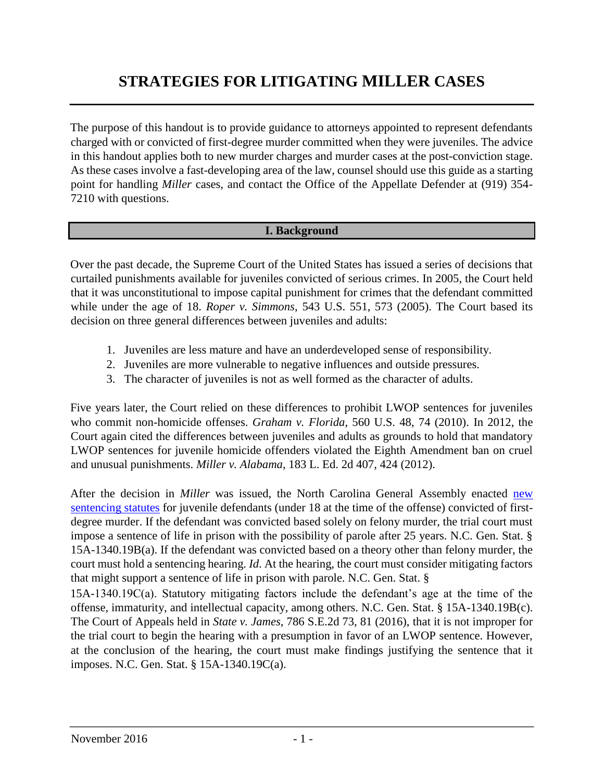# **STRATEGIES FOR LITIGATING MILLER CASES**

The purpose of this handout is to provide guidance to attorneys appointed to represent defendants charged with or convicted of first-degree murder committed when they were juveniles. The advice in this handout applies both to new murder charges and murder cases at the post-conviction stage. As these cases involve a fast-developing area of the law, counsel should use this guide as a starting point for handling *Miller* cases, and contact the Office of the Appellate Defender at (919) 354- 7210 with questions.

## **I. Background**

Over the past decade, the Supreme Court of the United States has issued a series of decisions that curtailed punishments available for juveniles convicted of serious crimes. In 2005, the Court held that it was unconstitutional to impose capital punishment for crimes that the defendant committed while under the age of 18. *Roper v. Simmons*, 543 U.S. 551, 573 (2005). The Court based its decision on three general differences between juveniles and adults:

- 1. Juveniles are less mature and have an underdeveloped sense of responsibility.
- 2. Juveniles are more vulnerable to negative influences and outside pressures.
- 3. The character of juveniles is not as well formed as the character of adults.

Five years later, the Court relied on these differences to prohibit LWOP sentences for juveniles who commit non-homicide offenses. *Graham v. Florida*, 560 U.S. 48, 74 (2010). In 2012, the Court again cited the differences between juveniles and adults as grounds to hold that mandatory LWOP sentences for juvenile homicide offenders violated the Eighth Amendment ban on cruel and unusual punishments. *Miller v. Alabama*, 183 L. Ed. 2d 407, 424 (2012).

After the decision in *Miller* was issued, the North Carolina General Assembly enacted [new](http://www.ncleg.net/Sessions/2011/Bills/Senate/PDF/S635v5.pdf) [sentencing statutes](http://www.ncleg.net/Sessions/2011/Bills/Senate/PDF/S635v5.pdf) for juvenile defendants (under 18 at the time of the offense) convicted of firstdegree murder. If the defendant was convicted based solely on felony murder, the trial court must impose a sentence of life in prison with the possibility of parole after 25 years. N.C. Gen. Stat. § 15A-1340.19B(a). If the defendant was convicted based on a theory other than felony murder, the court must hold a sentencing hearing. *Id*. At the hearing, the court must consider mitigating factors that might support a sentence of life in prison with parole. N.C. Gen. Stat. §

15A-1340.19C(a). Statutory mitigating factors include the defendant's age at the time of the offense, immaturity, and intellectual capacity, among others. N.C. Gen. Stat. § 15A-1340.19B(c). The Court of Appeals held in *State v. James*, 786 S.E.2d 73, 81 (2016), that it is not improper for the trial court to begin the hearing with a presumption in favor of an LWOP sentence. However, at the conclusion of the hearing, the court must make findings justifying the sentence that it imposes. N.C. Gen. Stat. § 15A-1340.19C(a).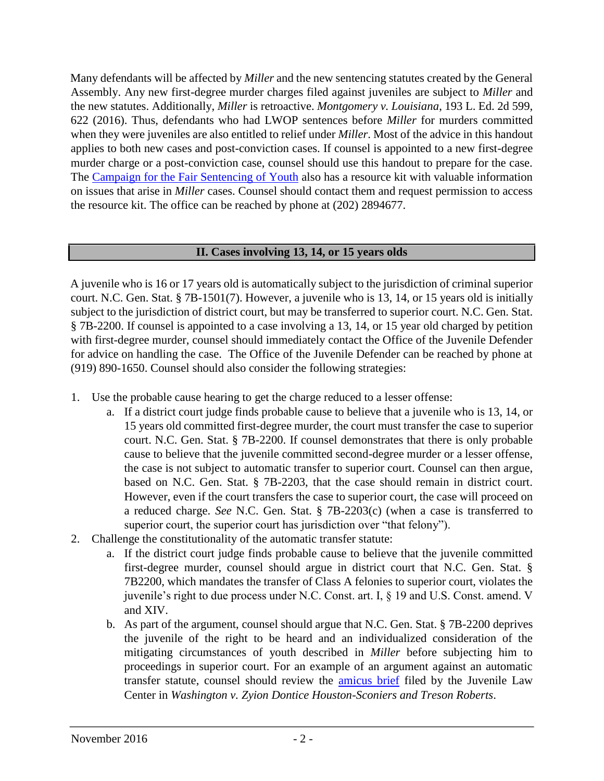Many defendants will be affected by *Miller* and the new sentencing statutes created by the General Assembly. Any new first-degree murder charges filed against juveniles are subject to *Miller* and the new statutes. Additionally, *Miller* is retroactive. *Montgomery v. Louisiana*, 193 L. Ed. 2d 599, 622 (2016). Thus, defendants who had LWOP sentences before *Miller* for murders committed when they were juveniles are also entitled to relief under *Miller*. Most of the advice in this handout applies to both new cases and post-conviction cases. If counsel is appointed to a new first-degree murder charge or a post-conviction case, counsel should use this handout to prepare for the case. The [Campaign for the Fair Sentencing of Youth](http://fairsentencingofyouth.org/) [a](http://fairsentencingofyouth.org/)lso has a resource kit with valuable information on issues that arise in *Miller* cases. Counsel should contact them and request permission to access the resource kit. The office can be reached by phone at (202) 2894677.

#### **II. Cases involving 13, 14, or 15 years olds**

A juvenile who is 16 or 17 years old is automatically subject to the jurisdiction of criminal superior court. N.C. Gen. Stat. § 7B-1501(7). However, a juvenile who is 13, 14, or 15 years old is initially subject to the jurisdiction of district court, but may be transferred to superior court. N.C. Gen. Stat. § 7B-2200. If counsel is appointed to a case involving a 13, 14, or 15 year old charged by petition with first-degree murder, counsel should immediately contact the Office of the Juvenile Defender for advice on handling the case. The Office of the Juvenile Defender can be reached by phone at (919) 890-1650. Counsel should also consider the following strategies:

- 1. Use the probable cause hearing to get the charge reduced to a lesser offense:
	- a. If a district court judge finds probable cause to believe that a juvenile who is 13, 14, or 15 years old committed first-degree murder, the court must transfer the case to superior court. N.C. Gen. Stat. § 7B-2200. If counsel demonstrates that there is only probable cause to believe that the juvenile committed second-degree murder or a lesser offense, the case is not subject to automatic transfer to superior court. Counsel can then argue, based on N.C. Gen. Stat. § 7B-2203, that the case should remain in district court. However, even if the court transfers the case to superior court, the case will proceed on a reduced charge. *See* N.C. Gen. Stat. § 7B-2203(c) (when a case is transferred to superior court, the superior court has jurisdiction over "that felony").
- 2. Challenge the constitutionality of the automatic transfer statute:
	- a. If the district court judge finds probable cause to believe that the juvenile committed first-degree murder, counsel should argue in district court that N.C. Gen. Stat. § 7B2200, which mandates the transfer of Class A felonies to superior court, violates the juvenile's right to due process under N.C. Const. art. I, § 19 and U.S. Const. amend. V and XIV.
	- b. As part of the argument, counsel should argue that N.C. Gen. Stat. § 7B-2200 deprives the juvenile of the right to be heard and an individualized consideration of the mitigating circumstances of youth described in *Miller* before subjecting him to proceedings in superior court. For an example of an argument against an automatic transfer statute, counsel should review the *amicus brief* filed by the Juvenile Law Center in *Washington v. Zyion Dontice Houston-Sconiers and Treson Roberts*.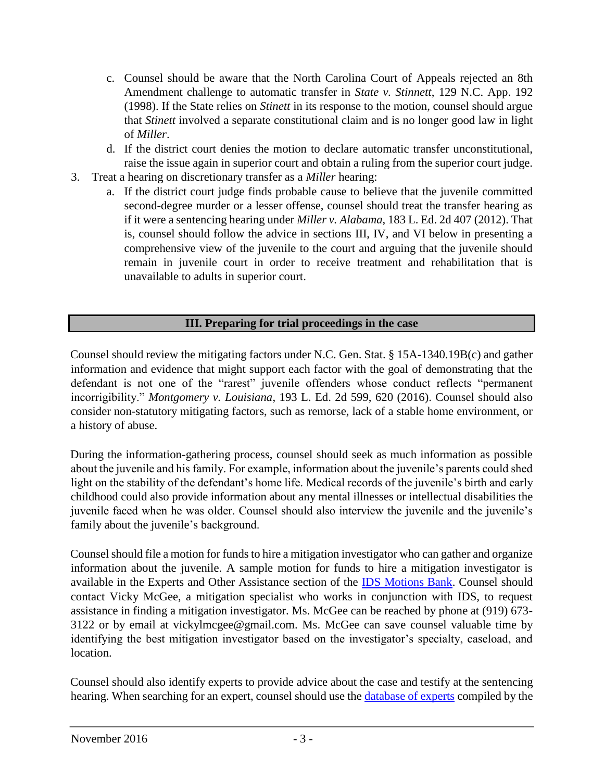- c. Counsel should be aware that the North Carolina Court of Appeals rejected an 8th Amendment challenge to automatic transfer in *State v. Stinnett*, 129 N.C. App. 192 (1998). If the State relies on *Stinett* in its response to the motion, counsel should argue that *Stinett* involved a separate constitutional claim and is no longer good law in light of *Miller*.
- d. If the district court denies the motion to declare automatic transfer unconstitutional, raise the issue again in superior court and obtain a ruling from the superior court judge.
- 3. Treat a hearing on discretionary transfer as a *Miller* hearing:
	- a. If the district court judge finds probable cause to believe that the juvenile committed second-degree murder or a lesser offense, counsel should treat the transfer hearing as if it were a sentencing hearing under *Miller v. Alabama*, 183 L. Ed. 2d 407 (2012). That is, counsel should follow the advice in sections III, IV, and VI below in presenting a comprehensive view of the juvenile to the court and arguing that the juvenile should remain in juvenile court in order to receive treatment and rehabilitation that is unavailable to adults in superior court.

# **III. Preparing for trial proceedings in the case**

Counsel should review the mitigating factors under N.C. Gen. Stat. § 15A-1340.19B(c) and gather information and evidence that might support each factor with the goal of demonstrating that the defendant is not one of the "rarest" juvenile offenders whose conduct reflects "permanent incorrigibility." *Montgomery v. Louisiana*, 193 L. Ed. 2d 599, 620 (2016). Counsel should also consider non-statutory mitigating factors, such as remorse, lack of a stable home environment, or a history of abuse.

During the information-gathering process, counsel should seek as much information as possible about the juvenile and his family. For example, information about the juvenile's parents could shed light on the stability of the defendant's home life. Medical records of the juvenile's birth and early childhood could also provide information about any mental illnesses or intellectual disabilities the juvenile faced when he was older. Counsel should also interview the juvenile and the juvenile's family about the juvenile's background.

Counsel should file a motion for funds to hire a mitigation investigator who can gather and organize information about the juvenile. A sample motion for funds to hire a mitigation investigator is available in the Experts and Other Assistance section of th[e](http://www.ncids.org/MotionsBankNonCap/TriaMotionsLinks.htm) [IDS Motions Bank.](http://www.ncids.org/MotionsBankNonCap/TriaMotionsLinks.htm) Counsel should contact Vicky McGee, a mitigation specialist who works in conjunction with IDS, to request assistance in finding a mitigation investigator. Ms. McGee can be reached by phone at (919) 673- 3122 or by email at vickylmcgee@gmail.com. Ms. McGee can save counsel valuable time by identifying the best mitigation investigator based on the investigator's specialty, caseload, and location.

Counsel should also identify experts to provide advice about the case and testify at the sentencing hearing. When searching for an expert, counsel should use the [database of experts](http://www.ncids.com/forensic/experts/experts.shtml) [c](http://www.ncids.com/forensic/experts/experts.shtml)ompiled by the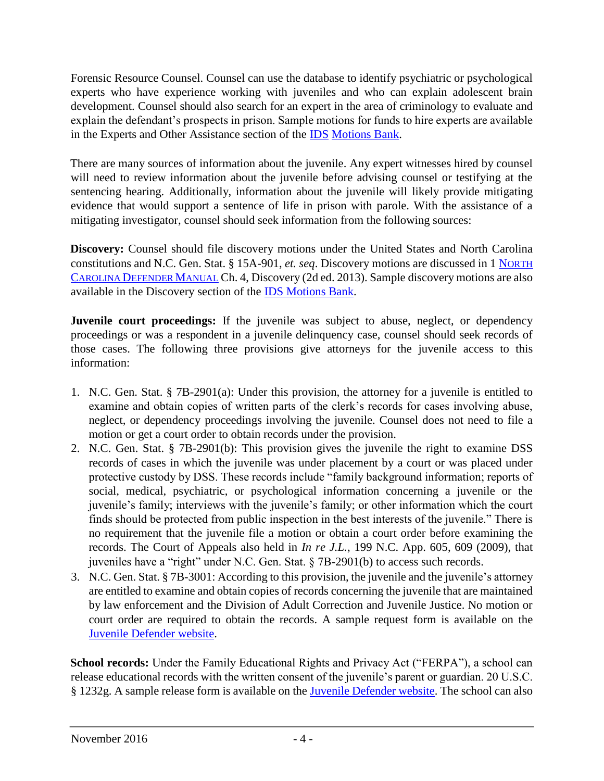Forensic Resource Counsel. Counsel can use the database to identify psychiatric or psychological experts who have experience working with juveniles and who can explain adolescent brain development. Counsel should also search for an expert in the area of criminology to evaluate and explain the defendant's prospects in prison. Sample motions for funds to hire experts are available in the Experts and Other Assistance section of the [IDS](http://www.ncids.org/MotionsBankNonCap/TriaMotionsLinks.htm) [Motions Bank.](http://www.ncids.org/MotionsBankNonCap/TriaMotionsLinks.htm) 

There are many sources of information about the juvenile. Any expert witnesses hired by counsel will need to review information about the juvenile before advising counsel or testifying at the sentencing hearing. Additionally, information about the juvenile will likely provide mitigating evidence that would support a sentence of life in prison with parole. With the assistance of a mitigating investigator, counsel should seek information from the following sources:

**Discovery:** Counsel should file discovery motions under the United States and North Carolina constitutions and N.C. Gen. Stat. § 15A-901, *et. seq*. Discovery motions are discussed in 1 [N](http://defendermanuals.sog.unc.edu/sites/defendermanuals.sog.unc.edu/files/pdf/Ch%204%20Discovery%202d%20ed%202013.pdf)[ORTH](http://defendermanuals.sog.unc.edu/sites/defendermanuals.sog.unc.edu/files/pdf/Ch%204%20Discovery%202d%20ed%202013.pdf)  [C](http://defendermanuals.sog.unc.edu/sites/defendermanuals.sog.unc.edu/files/pdf/Ch%204%20Discovery%202d%20ed%202013.pdf)[AROLINA](http://defendermanuals.sog.unc.edu/sites/defendermanuals.sog.unc.edu/files/pdf/Ch%204%20Discovery%202d%20ed%202013.pdf) [D](http://defendermanuals.sog.unc.edu/sites/defendermanuals.sog.unc.edu/files/pdf/Ch%204%20Discovery%202d%20ed%202013.pdf)[EFENDER](http://defendermanuals.sog.unc.edu/sites/defendermanuals.sog.unc.edu/files/pdf/Ch%204%20Discovery%202d%20ed%202013.pdf) [M](http://defendermanuals.sog.unc.edu/sites/defendermanuals.sog.unc.edu/files/pdf/Ch%204%20Discovery%202d%20ed%202013.pdf)[ANUAL](http://defendermanuals.sog.unc.edu/sites/defendermanuals.sog.unc.edu/files/pdf/Ch%204%20Discovery%202d%20ed%202013.pdf) Ch. 4, Discovery (2d ed. 2013). Sample discovery motions are also available in the Discovery section of the [IDS Motions Bank.](http://www.ncids.org/MotionsBankNonCap/TriaMotionsLinks.htm)

**Juvenile court proceedings:** If the juvenile was subject to abuse, neglect, or dependency proceedings or was a respondent in a juvenile delinquency case, counsel should seek records of those cases. The following three provisions give attorneys for the juvenile access to this information:

- 1. N.C. Gen. Stat. § 7B-2901(a): Under this provision, the attorney for a juvenile is entitled to examine and obtain copies of written parts of the clerk's records for cases involving abuse, neglect, or dependency proceedings involving the juvenile. Counsel does not need to file a motion or get a court order to obtain records under the provision.
- 2. N.C. Gen. Stat. § 7B-2901(b): This provision gives the juvenile the right to examine DSS records of cases in which the juvenile was under placement by a court or was placed under protective custody by DSS. These records include "family background information; reports of social, medical, psychiatric, or psychological information concerning a juvenile or the juvenile's family; interviews with the juvenile's family; or other information which the court finds should be protected from public inspection in the best interests of the juvenile." There is no requirement that the juvenile file a motion or obtain a court order before examining the records. The Court of Appeals also held in *In re J.L.*, 199 N.C. App. 605, 609 (2009), that juveniles have a "right" under N.C. Gen. Stat. § 7B-2901(b) to access such records.
- 3. N.C. Gen. Stat. § 7B-3001: According to this provision, the juvenile and the juvenile's attorney are entitled to examine and obtain copies of records concerning the juvenile that are maintained by law enforcement and the Division of Adult Correction and Juvenile Justice. No motion or court order are required to obtain the records. A sample request form is available on the [Juvenile Defender website.](https://ncjuveniledefender.wordpress.com/information-for-defenders/materials-for-defenders/juvenile-defender-trial-motions-and-forms-index/)

**School records:** Under the Family Educational Rights and Privacy Act ("FERPA"), a school can release educational records with the written consent of the juvenile's parent or guardian. 20 U.S.C. § 1232g. A sample release form is available on the [Juvenile Defender website.](https://ncjuveniledefender.wordpress.com/information-for-defenders/materials-for-defenders/juvenile-defender-trial-motions-and-forms-index/) The school can also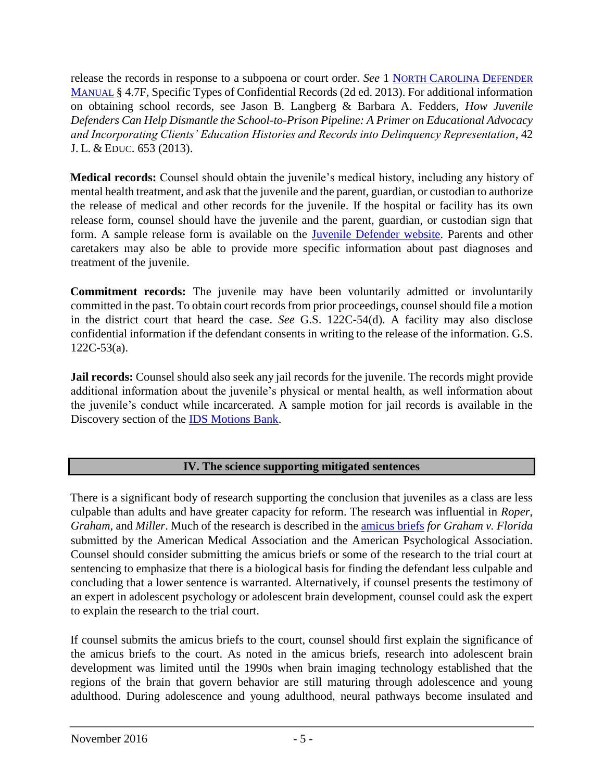release the records in response to a subpoena or court order. *See* 1 [N](http://defendermanuals.sog.unc.edu/pretrial/47-subpoenas)[ORTH](http://defendermanuals.sog.unc.edu/pretrial/47-subpoenas) [C](http://defendermanuals.sog.unc.edu/pretrial/47-subpoenas)[AROLINA](http://defendermanuals.sog.unc.edu/pretrial/47-subpoenas) [D](http://defendermanuals.sog.unc.edu/pretrial/47-subpoenas)[EFENDER](http://defendermanuals.sog.unc.edu/pretrial/47-subpoenas)  [M](http://defendermanuals.sog.unc.edu/pretrial/47-subpoenas)[ANUAL](http://defendermanuals.sog.unc.edu/pretrial/47-subpoenas) § 4.7F, Specific Types of Confidential Records (2d ed. 2013). For additional information on obtaining school records, see Jason B. Langberg & Barbara A. Fedders, *How Juvenile Defenders Can Help Dismantle the School-to-Prison Pipeline: A Primer on Educational Advocacy and Incorporating Clients' Education Histories and Records into Delinquency Representation*, 42 J. L. & EDUC. 653 (2013).

**Medical records:** Counsel should obtain the juvenile's medical history, including any history of mental health treatment, and ask that the juvenile and the parent, guardian, or custodian to authorize the release of medical and other records for the juvenile. If the hospital or facility has its own release form, counsel should have the juvenile and the parent, guardian, or custodian sign that form. A sample release form is available on the [Juvenile Defender website.](https://ncjuveniledefender.wordpress.com/information-for-defenders/materials-for-defenders/juvenile-defender-trial-motions-and-forms-index/) Parents and other caretakers may also be able to provide more specific information about past diagnoses and treatment of the juvenile.

**Commitment records:** The juvenile may have been voluntarily admitted or involuntarily committed in the past. To obtain court records from prior proceedings, counsel should file a motion in the district court that heard the case. *See* G.S. 122C-54(d). A facility may also disclose confidential information if the defendant consents in writing to the release of the information. G.S. 122C-53(a).

**Jail records:** Counsel should also seek any jail records for the juvenile. The records might provide additional information about the juvenile's physical or mental health, as well information about the juvenile's conduct while incarcerated. A sample motion for jail records is available in the Discovery section of the [IDS Motions Bank.](http://www.ncids.org/MotionsBankNonCap/TriaMotionsLinks.htm)

# **IV. The science supporting mitigated sentences**

There is a significant body of research supporting the conclusion that juveniles as a class are less culpable than adults and have greater capacity for reform. The research was influential in *Roper*, *Graham*, and *Miller*. Much of the research is described in the [amicus briefs](http://www.scotusblog.com/case-files/cases/graham-v-florida/) *for Graham v. Florida* submitted by the American Medical Association and the American Psychological Association. Counsel should consider submitting the amicus briefs or some of the research to the trial court at sentencing to emphasize that there is a biological basis for finding the defendant less culpable and concluding that a lower sentence is warranted. Alternatively, if counsel presents the testimony of an expert in adolescent psychology or adolescent brain development, counsel could ask the expert to explain the research to the trial court.

If counsel submits the amicus briefs to the court, counsel should first explain the significance of the amicus briefs to the court. As noted in the amicus briefs, research into adolescent brain development was limited until the 1990s when brain imaging technology established that the regions of the brain that govern behavior are still maturing through adolescence and young adulthood. During adolescence and young adulthood, neural pathways become insulated and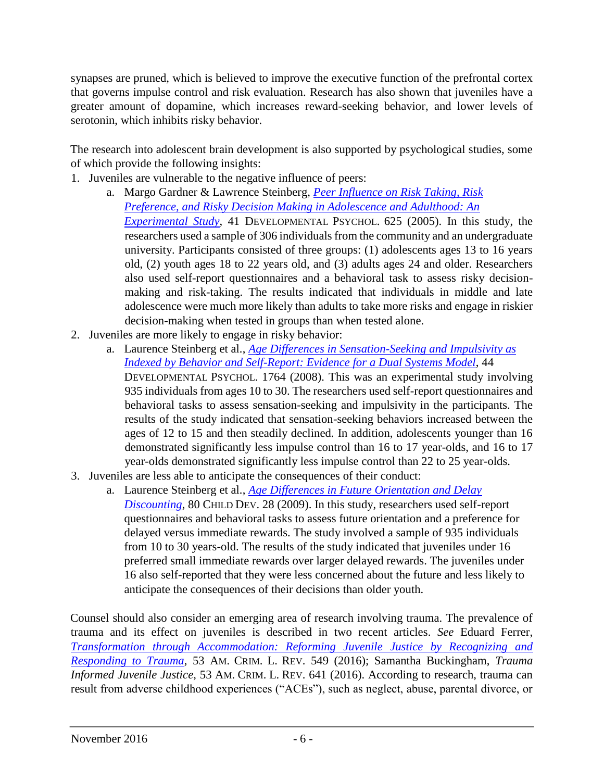synapses are pruned, which is believed to improve the executive function of the prefrontal cortex that governs impulse control and risk evaluation. Research has also shown that juveniles have a greater amount of dopamine, which increases reward-seeking behavior, and lower levels of serotonin, which inhibits risky behavior.

The research into adolescent brain development is also supported by psychological studies, some of which provide the following insights:

- 1. Juveniles are vulnerable to the negative influence of peers:
	- a. Margo Gardner & Lawrence Steinberg, *[Peer Influence on Risk Taking, Risk](https://secure.uwf.edu/smathews/documents/peerroleinrisktakinggardnerandsteinberg.pdf) [Preference, and Risky Decision Making in Adolescence and Adulthood: An](https://secure.uwf.edu/smathews/documents/peerroleinrisktakinggardnerandsteinberg.pdf) [Experimental Study](https://secure.uwf.edu/smathews/documents/peerroleinrisktakinggardnerandsteinberg.pdf)*[,](https://secure.uwf.edu/smathews/documents/peerroleinrisktakinggardnerandsteinberg.pdf) 41 DEVELOPMENTAL PSYCHOL. 625 (2005). In this study, the researchers used a sample of 306 individuals from the community and an undergraduate university. Participants consisted of three groups: (1) adolescents ages 13 to 16 years old, (2) youth ages 18 to 22 years old, and (3) adults ages 24 and older. Researchers also used self-report questionnaires and a behavioral task to assess risky decisionmaking and risk-taking. The results indicated that individuals in middle and late adolescence were much more likely than adults to take more risks and engage in riskier decision-making when tested in groups than when tested alone.
- 2. Juveniles are more likely to engage in risky behavior:
	- a. Laurence Steinberg et al., *[Age Differences in Sensation-Seeking and Impulsivity as](http://psych.colorado.edu/~mbanich/p/sensationseekingandimpulsivity.pdf) [Indexed by Behavior and Self-Report: Evidence for a Dual Systems Model](http://psych.colorado.edu/~mbanich/p/sensationseekingandimpulsivity.pdf)*[,](http://psych.colorado.edu/~mbanich/p/sensationseekingandimpulsivity.pdf) 44 DEVELOPMENTAL PSYCHOL. 1764 (2008). This was an experimental study involving 935 individuals from ages 10 to 30. The researchers used self-report questionnaires and behavioral tasks to assess sensation-seeking and impulsivity in the participants. The results of the study indicated that sensation-seeking behaviors increased between the ages of 12 to 15 and then steadily declined. In addition, adolescents younger than 16 demonstrated significantly less impulse control than 16 to 17 year-olds, and 16 to 17 year-olds demonstrated significantly less impulse control than 22 to 25 year-olds.
- 3. Juveniles are less able to anticipate the consequences of their conduct:
	- a. Laurence Steinberg et al., *[Age Differences in Future Orientation and Delay](http://psych.colorado.edu/~mbanich/p/AgeDiffFutureOrientation.pdf) [Discounting](http://psych.colorado.edu/~mbanich/p/AgeDiffFutureOrientation.pdf)*[,](http://psych.colorado.edu/~mbanich/p/AgeDiffFutureOrientation.pdf) 80 CHILD DEV. 28 (2009). In this study, researchers used self-report questionnaires and behavioral tasks to assess future orientation and a preference for delayed versus immediate rewards. The study involved a sample of 935 individuals from 10 to 30 years-old. The results of the study indicated that juveniles under 16 preferred small immediate rewards over larger delayed rewards. The juveniles under 16 also self-reported that they were less concerned about the future and less likely to anticipate the consequences of their decisions than older youth.

Counsel should also consider an emerging area of research involving trauma. The prevalence of trauma and its effect on juveniles is described in two recent articles. *See* Eduard Ferrer, *[Transformation through Accommodation: Reforming Juvenile Justice by Recognizing and](https://d3n8a8pro7vhmx.cloudfront.net/dcly/pages/140/attachments/original/1465778982/Transformation_through_Accommodation_(Ferrer).pdf?1465778982) [Responding to Trauma](https://d3n8a8pro7vhmx.cloudfront.net/dcly/pages/140/attachments/original/1465778982/Transformation_through_Accommodation_(Ferrer).pdf?1465778982)*[,](https://d3n8a8pro7vhmx.cloudfront.net/dcly/pages/140/attachments/original/1465778982/Transformation_through_Accommodation_(Ferrer).pdf?1465778982) 53 AM. CRIM. L. REV. 549 (2016); Samantha Buckingham, *Trauma Informed Juvenile Justice*, 53 AM. CRIM. L. REV. 641 (2016). According to research, trauma can result from adverse childhood experiences ("ACEs"), such as neglect, abuse, parental divorce, or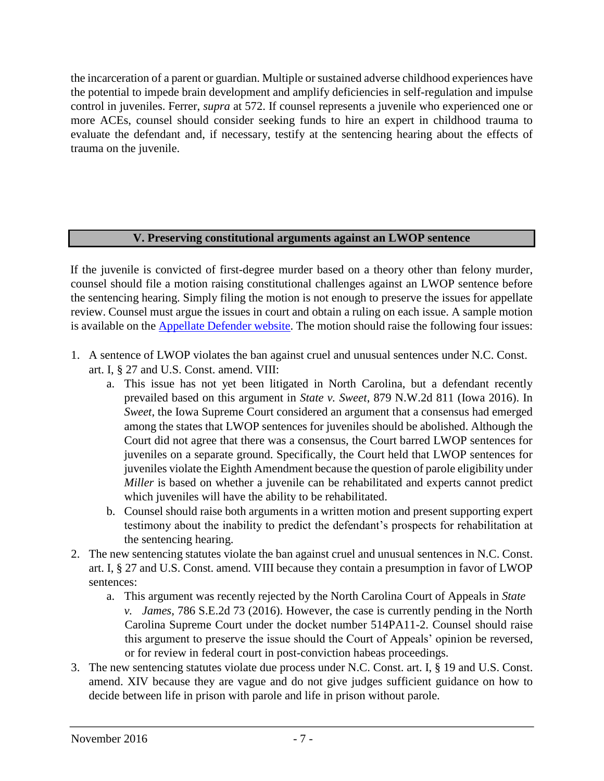the incarceration of a parent or guardian. Multiple or sustained adverse childhood experiences have the potential to impede brain development and amplify deficiencies in self-regulation and impulse control in juveniles. Ferrer, *supra* at 572. If counsel represents a juvenile who experienced one or more ACEs, counsel should consider seeking funds to hire an expert in childhood trauma to evaluate the defendant and, if necessary, testify at the sentencing hearing about the effects of trauma on the juvenile.

## **V. Preserving constitutional arguments against an LWOP sentence**

If the juvenile is convicted of first-degree murder based on a theory other than felony murder, counsel should file a motion raising constitutional challenges against an LWOP sentence before the sentencing hearing. Simply filing the motion is not enough to preserve the issues for appellate review. Counsel must argue the issues in court and obtain a ruling on each issue. A sample motion is available on the [Appellate Defender website.](http://www.ncids.org/AppDefender/OAD-Home.htm?c=Defender%20Offices%20%20and%20%20Depts,%20Appellate%20Defender) The motion should raise the following four issues:

- 1. A sentence of LWOP violates the ban against cruel and unusual sentences under N.C. Const. art. I, § 27 and U.S. Const. amend. VIII:
	- a. This issue has not yet been litigated in North Carolina, but a defendant recently prevailed based on this argument in *State v. Sweet*, 879 N.W.2d 811 (Iowa 2016). In *Sweet*, the Iowa Supreme Court considered an argument that a consensus had emerged among the states that LWOP sentences for juveniles should be abolished. Although the Court did not agree that there was a consensus, the Court barred LWOP sentences for juveniles on a separate ground. Specifically, the Court held that LWOP sentences for juveniles violate the Eighth Amendment because the question of parole eligibility under *Miller* is based on whether a juvenile can be rehabilitated and experts cannot predict which juveniles will have the ability to be rehabilitated.
	- b. Counsel should raise both arguments in a written motion and present supporting expert testimony about the inability to predict the defendant's prospects for rehabilitation at the sentencing hearing.
- 2. The new sentencing statutes violate the ban against cruel and unusual sentences in N.C. Const. art. I, § 27 and U.S. Const. amend. VIII because they contain a presumption in favor of LWOP sentences:
	- a. This argument was recently rejected by the North Carolina Court of Appeals in *State v. James*, 786 S.E.2d 73 (2016). However, the case is currently pending in the North Carolina Supreme Court under the docket number 514PA11-2. Counsel should raise this argument to preserve the issue should the Court of Appeals' opinion be reversed, or for review in federal court in post-conviction habeas proceedings.
- 3. The new sentencing statutes violate due process under N.C. Const. art. I, § 19 and U.S. Const. amend. XIV because they are vague and do not give judges sufficient guidance on how to decide between life in prison with parole and life in prison without parole.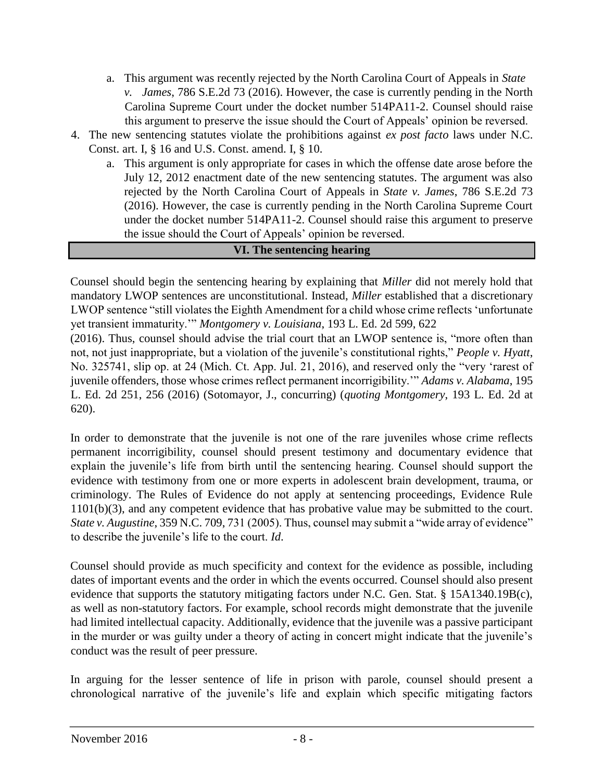- a. This argument was recently rejected by the North Carolina Court of Appeals in *State v. James*, 786 S.E.2d 73 (2016). However, the case is currently pending in the North Carolina Supreme Court under the docket number 514PA11-2. Counsel should raise this argument to preserve the issue should the Court of Appeals' opinion be reversed.
- 4. The new sentencing statutes violate the prohibitions against *ex post facto* laws under N.C. Const. art. I, § 16 and U.S. Const. amend. I, § 10.
	- a. This argument is only appropriate for cases in which the offense date arose before the July 12, 2012 enactment date of the new sentencing statutes. The argument was also rejected by the North Carolina Court of Appeals in *State v. James*, 786 S.E.2d 73 (2016). However, the case is currently pending in the North Carolina Supreme Court under the docket number 514PA11-2. Counsel should raise this argument to preserve the issue should the Court of Appeals' opinion be reversed.

#### **VI. The sentencing hearing**

Counsel should begin the sentencing hearing by explaining that *Miller* did not merely hold that mandatory LWOP sentences are unconstitutional. Instead, *Miller* established that a discretionary LWOP sentence "still violates the Eighth Amendment for a child whose crime reflects 'unfortunate yet transient immaturity.'" *Montgomery v. Louisiana*, 193 L. Ed. 2d 599, 622

(2016). Thus, counsel should advise the trial court that an LWOP sentence is, "more often than not, not just inappropriate, but a violation of the juvenile's constitutional rights," *People v. Hyatt*, No. 325741, slip op. at 24 (Mich. Ct. App. Jul. 21, 2016), and reserved only the "very 'rarest of juvenile offenders, those whose crimes reflect permanent incorrigibility.'" *Adams v. Alabama*, 195 L. Ed. 2d 251, 256 (2016) (Sotomayor, J., concurring) (*quoting Montgomery*, 193 L. Ed. 2d at 620).

In order to demonstrate that the juvenile is not one of the rare juveniles whose crime reflects permanent incorrigibility, counsel should present testimony and documentary evidence that explain the juvenile's life from birth until the sentencing hearing. Counsel should support the evidence with testimony from one or more experts in adolescent brain development, trauma, or criminology. The Rules of Evidence do not apply at sentencing proceedings, Evidence Rule 1101(b)(3), and any competent evidence that has probative value may be submitted to the court. *State v. Augustine*, 359 N.C. 709, 731 (2005). Thus, counsel may submit a "wide array of evidence" to describe the juvenile's life to the court. *Id*.

Counsel should provide as much specificity and context for the evidence as possible, including dates of important events and the order in which the events occurred. Counsel should also present evidence that supports the statutory mitigating factors under N.C. Gen. Stat. § 15A1340.19B(c), as well as non-statutory factors. For example, school records might demonstrate that the juvenile had limited intellectual capacity. Additionally, evidence that the juvenile was a passive participant in the murder or was guilty under a theory of acting in concert might indicate that the juvenile's conduct was the result of peer pressure.

In arguing for the lesser sentence of life in prison with parole, counsel should present a chronological narrative of the juvenile's life and explain which specific mitigating factors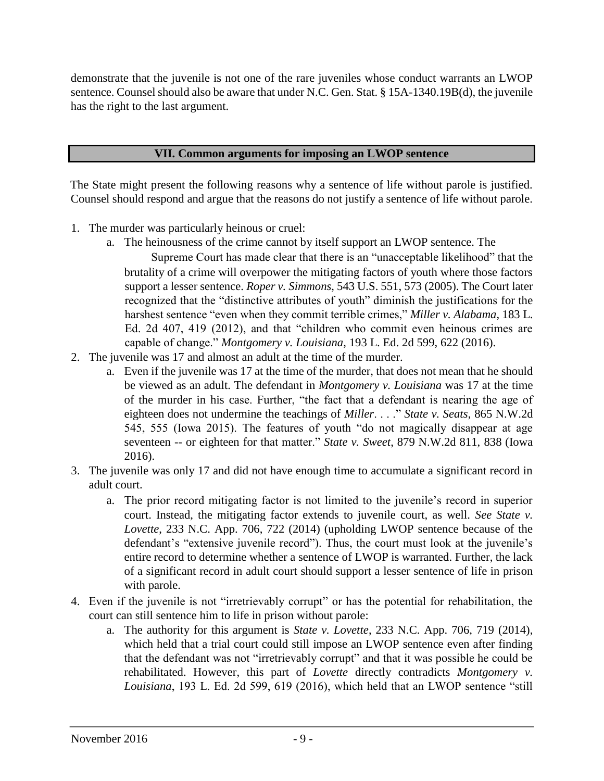demonstrate that the juvenile is not one of the rare juveniles whose conduct warrants an LWOP sentence. Counsel should also be aware that under N.C. Gen. Stat. § 15A-1340.19B(d), the juvenile has the right to the last argument.

#### **VII. Common arguments for imposing an LWOP sentence**

The State might present the following reasons why a sentence of life without parole is justified. Counsel should respond and argue that the reasons do not justify a sentence of life without parole.

- 1. The murder was particularly heinous or cruel:
	- a. The heinousness of the crime cannot by itself support an LWOP sentence. The
		- Supreme Court has made clear that there is an "unacceptable likelihood" that the brutality of a crime will overpower the mitigating factors of youth where those factors support a lesser sentence. *Roper v. Simmons*, 543 U.S. 551, 573 (2005). The Court later recognized that the "distinctive attributes of youth" diminish the justifications for the harshest sentence "even when they commit terrible crimes," *Miller v. Alabama*, 183 L. Ed. 2d 407, 419 (2012), and that "children who commit even heinous crimes are capable of change." *Montgomery v. Louisiana*, 193 L. Ed. 2d 599, 622 (2016).
- 2. The juvenile was 17 and almost an adult at the time of the murder.
	- a. Even if the juvenile was 17 at the time of the murder, that does not mean that he should be viewed as an adult. The defendant in *Montgomery v. Louisiana* was 17 at the time of the murder in his case. Further, "the fact that a defendant is nearing the age of eighteen does not undermine the teachings of *Miller*. . . ." *State v. Seats*, 865 N.W.2d 545, 555 (Iowa 2015). The features of youth "do not magically disappear at age seventeen -- or eighteen for that matter." *State v. Sweet*, 879 N.W.2d 811, 838 (Iowa 2016).
- 3. The juvenile was only 17 and did not have enough time to accumulate a significant record in adult court.
	- a. The prior record mitigating factor is not limited to the juvenile's record in superior court. Instead, the mitigating factor extends to juvenile court, as well. *See State v. Lovette*, 233 N.C. App. 706, 722 (2014) (upholding LWOP sentence because of the defendant's "extensive juvenile record"). Thus, the court must look at the juvenile's entire record to determine whether a sentence of LWOP is warranted. Further, the lack of a significant record in adult court should support a lesser sentence of life in prison with parole.
- 4. Even if the juvenile is not "irretrievably corrupt" or has the potential for rehabilitation, the court can still sentence him to life in prison without parole:
	- a. The authority for this argument is *State v. Lovette*, 233 N.C. App. 706, 719 (2014), which held that a trial court could still impose an LWOP sentence even after finding that the defendant was not "irretrievably corrupt" and that it was possible he could be rehabilitated. However, this part of *Lovette* directly contradicts *Montgomery v. Louisiana*, 193 L. Ed. 2d 599, 619 (2016), which held that an LWOP sentence "still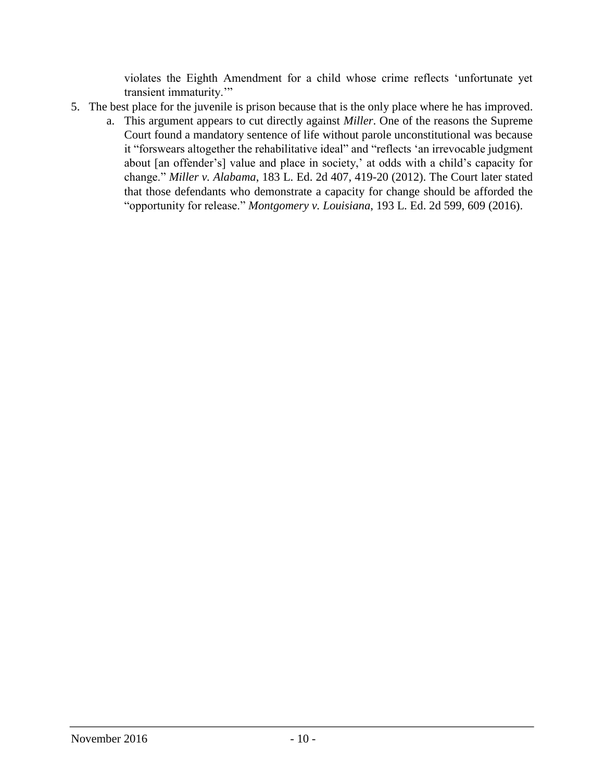violates the Eighth Amendment for a child whose crime reflects 'unfortunate yet transient immaturity.'"

- 5. The best place for the juvenile is prison because that is the only place where he has improved.
	- a. This argument appears to cut directly against *Miller*. One of the reasons the Supreme Court found a mandatory sentence of life without parole unconstitutional was because it "forswears altogether the rehabilitative ideal" and "reflects 'an irrevocable judgment about [an offender's] value and place in society,' at odds with a child's capacity for change." *Miller v. Alabama*, 183 L. Ed. 2d 407, 419-20 (2012). The Court later stated that those defendants who demonstrate a capacity for change should be afforded the "opportunity for release." *Montgomery v. Louisiana*, 193 L. Ed. 2d 599, 609 (2016).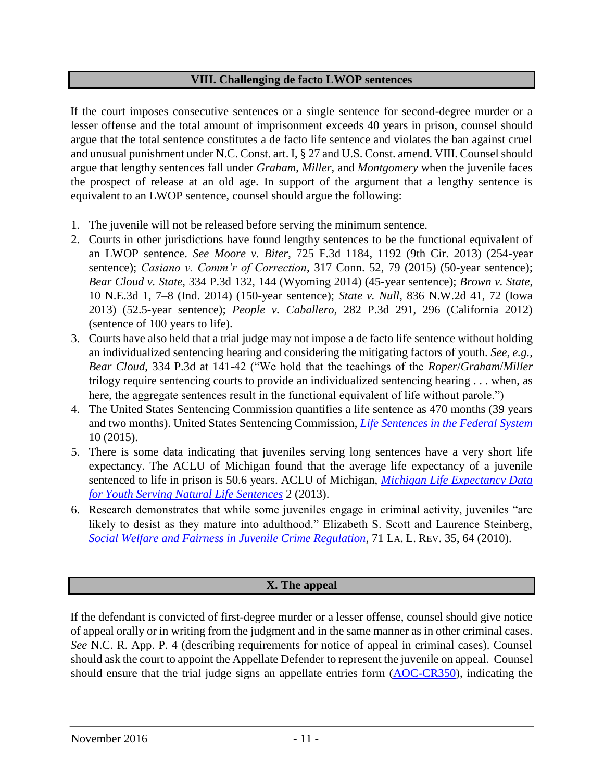#### **VIII. Challenging de facto LWOP sentences**

If the court imposes consecutive sentences or a single sentence for second-degree murder or a lesser offense and the total amount of imprisonment exceeds 40 years in prison, counsel should argue that the total sentence constitutes a de facto life sentence and violates the ban against cruel and unusual punishment under N.C. Const. art. I, § 27 and U.S. Const. amend. VIII. Counsel should argue that lengthy sentences fall under *Graham*, *Miller*, and *Montgomery* when the juvenile faces the prospect of release at an old age. In support of the argument that a lengthy sentence is equivalent to an LWOP sentence, counsel should argue the following:

- 1. The juvenile will not be released before serving the minimum sentence.
- 2. Courts in other jurisdictions have found lengthy sentences to be the functional equivalent of an LWOP sentence. *See Moore v. Biter*, 725 F.3d 1184, 1192 (9th Cir. 2013) (254-year sentence); *Casiano v. Comm'r of Correction*, 317 Conn. 52, 79 (2015) (50-year sentence); *Bear Cloud v. State*, 334 P.3d 132, 144 (Wyoming 2014) (45-year sentence); *Brown v. State*, 10 N.E.3d 1, 7–8 (Ind. 2014) (150-year sentence); *State v. Null*, 836 N.W.2d 41, 72 (Iowa 2013) (52.5-year sentence); *People v. Caballero*, 282 P.3d 291, 296 (California 2012) (sentence of 100 years to life).
- 3. Courts have also held that a trial judge may not impose a de facto life sentence without holding an individualized sentencing hearing and considering the mitigating factors of youth. *See, e.g., Bear Cloud*, 334 P.3d at 141-42 ("We hold that the teachings of the *Roper*/*Graham*/*Miller* trilogy require sentencing courts to provide an individualized sentencing hearing . . . when, as here, the aggregate sentences result in the functional equivalent of life without parole.")
- 4. The United States Sentencing Commission quantifies a life sentence as 470 months (39 years and two months). United States Sentencing Commission, *[Life Sentences in the Federal](http://www.ussc.gov/sites/default/files/pdf/research-and-publications/research-projects-and-surveys/miscellaneous/20150226_Life_Sentences.pdf) [System](http://www.ussc.gov/sites/default/files/pdf/research-and-publications/research-projects-and-surveys/miscellaneous/20150226_Life_Sentences.pdf)* 10 (2015).
- 5. There is some data indicating that juveniles serving long sentences have a very short life expectancy. The ACLU of Michigan found that the average life expectancy of a juvenile sentenced to life in prison is 50.6 years. ACLU of Michigan, *[Michigan Life Expectancy Data](http://fairsentencingofyouth.org/wp-content/uploads/2010/02/Michigan-Life-Expectancy-Data-Youth-Serving-Life.pdf) [for Youth Serving Natural Life Sentences](http://fairsentencingofyouth.org/wp-content/uploads/2010/02/Michigan-Life-Expectancy-Data-Youth-Serving-Life.pdf)* [2](http://fairsentencingofyouth.org/wp-content/uploads/2010/02/Michigan-Life-Expectancy-Data-Youth-Serving-Life.pdf) (2013).
- 6. Research demonstrates that while some juveniles engage in criminal activity, juveniles "are likely to desist as they mature into adulthood." Elizabeth S. Scott and Laurence Steinberg, *[Social Welfare and Fairness in Juvenile Crime Regulation](http://digitalcommons.law.lsu.edu/cgi/viewcontent.cgi?article=6354&context=lalrev)*[,](http://digitalcommons.law.lsu.edu/cgi/viewcontent.cgi?article=6354&context=lalrev) 71 LA. L. REV. 35, 64 (2010).

## **X. The appeal**

If the defendant is convicted of first-degree murder or a lesser offense, counsel should give notice of appeal orally or in writing from the judgment and in the same manner as in other criminal cases. *See* N.C. R. App. P. 4 (describing requirements for notice of appeal in criminal cases). Counsel should ask the court to appoint the Appellate Defender to represent the juvenile on appeal. Counsel should ensure that the trial judge signs an appellate entries form [\(AOC-CR350\),](http://www.nccourts.org/Forms/Documents/133.pdf) indicating the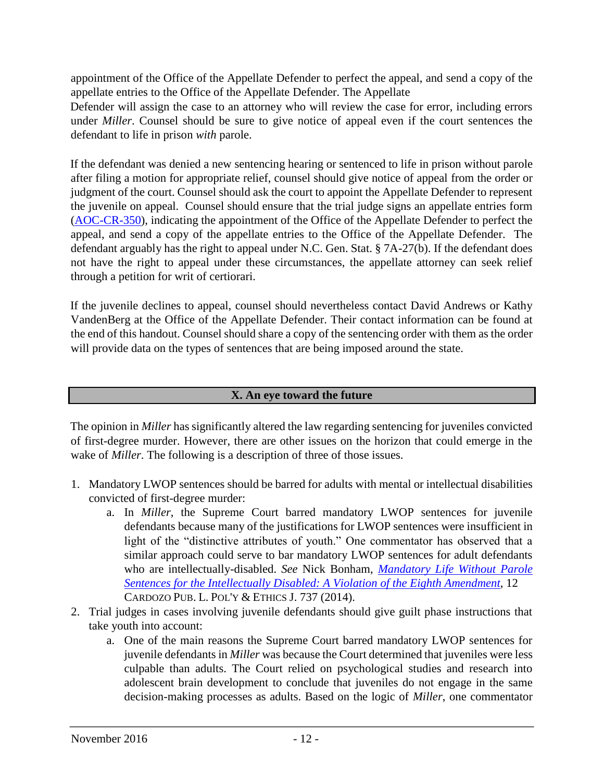appointment of the Office of the Appellate Defender to perfect the appeal, and send a copy of the appellate entries to the Office of the Appellate Defender. The Appellate

Defender will assign the case to an attorney who will review the case for error, including errors under *Miller*. Counsel should be sure to give notice of appeal even if the court sentences the defendant to life in prison *with* parole.

If the defendant was denied a new sentencing hearing or sentenced to life in prison without parole after filing a motion for appropriate relief, counsel should give notice of appeal from the order or judgment of the court. Counsel should ask the court to appoint the Appellate Defender to represent the juvenile on appeal. Counsel should ensure that the trial judge signs an appellate entries form [\(AOC-CR-350\),](http://www.nccourts.org/Forms/Documents/133.pdf) indicating the appointment of the Office of the Appellate Defender to perfect the appeal, and send a copy of the appellate entries to the Office of the Appellate Defender. The defendant arguably has the right to appeal under N.C. Gen. Stat. § 7A-27(b). If the defendant does not have the right to appeal under these circumstances, the appellate attorney can seek relief through a petition for writ of certiorari.

If the juvenile declines to appeal, counsel should nevertheless contact David Andrews or Kathy VandenBerg at the Office of the Appellate Defender. Their contact information can be found at the end of this handout. Counsel should share a copy of the sentencing order with them as the order will provide data on the types of sentences that are being imposed around the state.

#### **X. An eye toward the future**

The opinion in *Miller* has significantly altered the law regarding sentencing for juveniles convicted of first-degree murder. However, there are other issues on the horizon that could emerge in the wake of *Miller*. The following is a description of three of those issues.

- 1. Mandatory LWOP sentences should be barred for adults with mental or intellectual disabilities convicted of first-degree murder:
	- a. In *Miller*, the Supreme Court barred mandatory LWOP sentences for juvenile defendants because many of the justifications for LWOP sentences were insufficient in light of the "distinctive attributes of youth." One commentator has observed that a similar approach could serve to bar mandatory LWOP sentences for adult defendants who are intellectually-disabled. *See* Nick Bonham, *[Mandatory Life Without Parole](http://www.cplpej.org/wp-content/uploads/2015/08/Bonham-Nick.pdf) [Sentences for the Intellectually Disabled: A Violation of the Eighth Amendment](http://www.cplpej.org/wp-content/uploads/2015/08/Bonham-Nick.pdf)*[,](http://www.cplpej.org/wp-content/uploads/2015/08/Bonham-Nick.pdf) 12 CARDOZO PUB. L. POL'Y & ETHICS J. 737 (2014).
- 2. Trial judges in cases involving juvenile defendants should give guilt phase instructions that take youth into account:
	- a. One of the main reasons the Supreme Court barred mandatory LWOP sentences for juvenile defendants in *Miller* was because the Court determined that juveniles were less culpable than adults. The Court relied on psychological studies and research into adolescent brain development to conclude that juveniles do not engage in the same decision-making processes as adults. Based on the logic of *Miller*, one commentator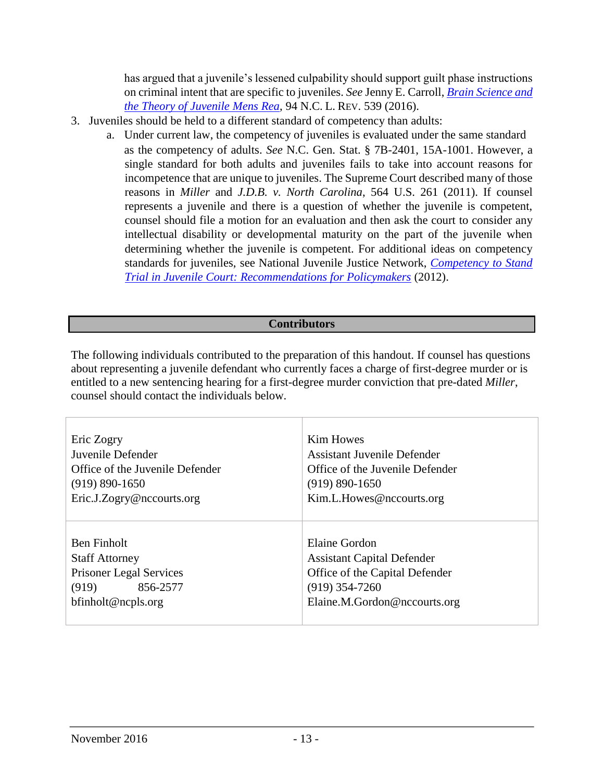has argued that a juvenile's lessened culpability should support guilt phase instructions on criminal intent that are specific to juveniles. *See* Jenny E. Carroll, *[Brain Science and](http://nclawreview.org/documents/94/2/Carroll.pdf)  [the Theory of Juvenile Mens Rea](http://nclawreview.org/documents/94/2/Carroll.pdf)*[,](http://nclawreview.org/documents/94/2/Carroll.pdf) 94 N.C. L. REV. 539 (2016).

- 3. Juveniles should be held to a different standard of competency than adults:
	- a. Under current law, the competency of juveniles is evaluated under the same standard as the competency of adults. *See* N.C. Gen. Stat. § 7B-2401, 15A-1001. However, a single standard for both adults and juveniles fails to take into account reasons for incompetence that are unique to juveniles. The Supreme Court described many of those reasons in *Miller* and *J.D.B. v. North Carolina*, 564 U.S. 261 (2011). If counsel represents a juvenile and there is a question of whether the juvenile is competent, counsel should file a motion for an evaluation and then ask the court to consider any intellectual disability or developmental maturity on the part of the juvenile when determining whether the juvenile is competent. For additional ideas on competency standards for juveniles, see National Juvenile Justice Network, *[Competency to Stand](http://www.njjn.org/uploads/digital-library/NJJN_MfC_Juvenile-Competency-to-Stand-Trial_FINAL-Nov2012.pdf) [Trial in Juvenile Court: Recommendations for Policymakers](http://www.njjn.org/uploads/digital-library/NJJN_MfC_Juvenile-Competency-to-Stand-Trial_FINAL-Nov2012.pdf)* [\(](http://www.njjn.org/uploads/digital-library/NJJN_MfC_Juvenile-Competency-to-Stand-Trial_FINAL-Nov2012.pdf)2012).

#### **Contributors**

The following individuals contributed to the preparation of this handout. If counsel has questions about representing a juvenile defendant who currently faces a charge of first-degree murder or is entitled to a new sentencing hearing for a first-degree murder conviction that pre-dated *Miller*, counsel should contact the individuals below.

| Eric Zogry                                                                                                           | <b>Kim Howes</b>                                                                                                                         |
|----------------------------------------------------------------------------------------------------------------------|------------------------------------------------------------------------------------------------------------------------------------------|
| Juvenile Defender                                                                                                    | <b>Assistant Juvenile Defender</b>                                                                                                       |
| Office of the Juvenile Defender                                                                                      | Office of the Juvenile Defender                                                                                                          |
| $(919) 890 - 1650$                                                                                                   | $(919) 890 - 1650$                                                                                                                       |
| Eric.J.Zogry@nccourts.org                                                                                            | Kim.L.Howes@nccourts.org                                                                                                                 |
| Ben Finholt<br><b>Staff Attorney</b><br><b>Prisoner Legal Services</b><br>856-2577<br>(919)<br>$b$ finholt@ncpls.org | Elaine Gordon<br><b>Assistant Capital Defender</b><br>Office of the Capital Defender<br>$(919)$ 354-7260<br>Elaine.M.Gordon@nccourts.org |